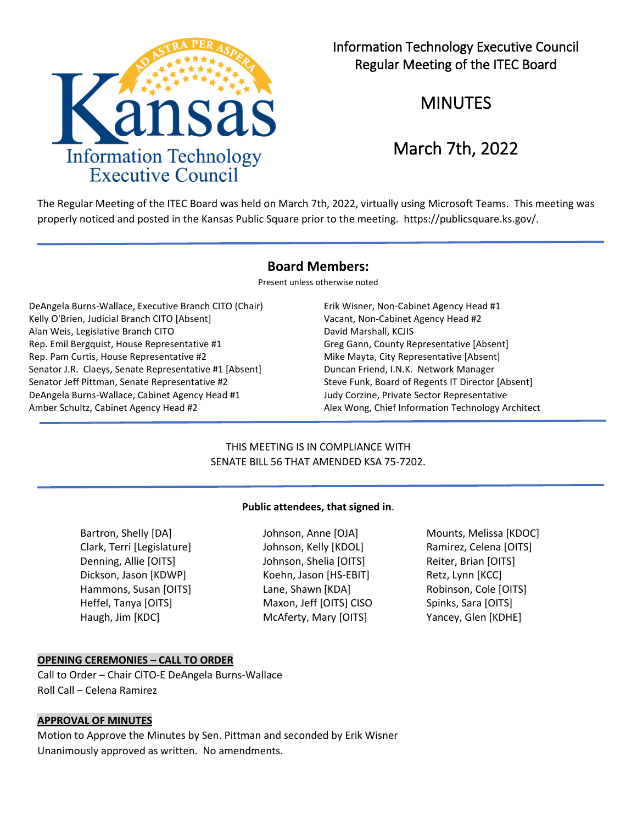

# Information Technology Executive Council Regular Meeting of the ITEC Board

MINUTES

# March 7th, 2022

The Regular Meeting of the ITEC Board was held on March 7th, 2022, virtually using Microsoft Teams. This meeting was properly noticed and posted in the Kansas Public Square prior to the meeting. https://publicsquare.ks.gov/.

## **Board Members:**

Present unless otherwise noted

DeAngela Burns-Wallace, Executive Branch CITO (Chair) Erik Wisner, Non-Cabinet Agency Head #1 Kelly O'Brien, Judicial Branch CITO [Absent] Vacant, Non-Cabinet Agency Head #2 Alan Weis, Legislative Branch CITO **David Marshall, KCJIS** David Marshall, KCJIS Rep. Emil Bergquist, House Representative #1 Greg Gann, County Representative [Absent] Rep. Pam Curtis, House Representative #2 Mike Mayta, City Representative [Absent] Senator J.R. Claeys, Senate Representative #1 [Absent] Duncan Friend, I.N.K. Network Manager Senator Jeff Pittman, Senate Representative #2 Steve Funk, Board of Regents IT Director [Absent] DeAngela Burns-Wallace, Cabinet Agency Head #1 Judy Corzine, Private Sector Representative Amber Schultz, Cabinet Agency Head #2 Alex Wong, Chief Information Technology Architect

## THIS MEETING IS IN COMPLIANCE WITH SENATE BILL 56 THAT AMENDED KSA 75-7202.

## **Public attendees, that signed in**.

Bartron, Shelly [DA] Johnson, Anne [OJA] Mounts, Melissa [KDOC] Clark, Terri [Legislature] Johnson, Kelly [KDOL] Ramirez, Celena [OITS] Denning, Allie [OITS] Johnson, Shelia [OITS] Reiter, Brian [OITS] Dickson, Jason [KDWP] Koehn, Jason [HS-EBIT] Retz, Lynn [KCC] Hammons, Susan [OITS] Lane, Shawn [KDA] Robinson, Cole [OITS] Heffel, Tanya [OITS] Maxon, Jeff [OITS] CISO Spinks, Sara [OITS] Haugh, Jim [KDC] McAferty, Mary [OITS] Yancey, Glen [KDHE]

## **OPENING CEREMONIES – CALL TO ORDER**

Call to Order – Chair CITO-E DeAngela Burns-Wallace Roll Call – Celena Ramirez

#### **APPROVAL OF MINUTES**

Motion to Approve the Minutes by Sen. Pittman and seconded by Erik Wisner Unanimously approved as written. No amendments.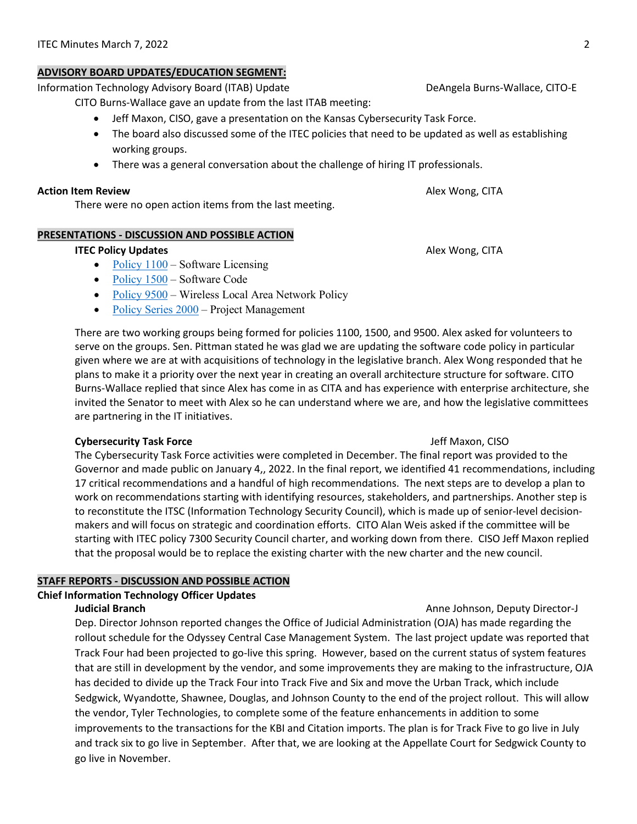## **ADVISORY BOARD UPDATES/EDUCATION SEGMENT:**

Information Technology Advisory Board (ITAB) UpdateDeAngela Burns-Wallace, CITO-E

CITO Burns-Wallace gave an update from the last ITAB meeting:

- Jeff Maxon, CISO, gave a presentation on the Kansas Cybersecurity Task Force.
- The board also discussed some of the ITEC policies that need to be updated as well as establishing working groups.
- There was a general conversation about the challenge of hiring IT professionals.

## **Action Item Review**  Alex Wong, CITA

There were no open action items from the last meeting.

## **PRESENTATIONS - DISCUSSION AND POSSIBLE ACTION**

## **ITEC Policy Updates** Alex Wong, CITA

- Policy  $1100 -$  Software Licensing
- [Policy 1500](https://ebit.ks.gov/docs/default-source/itec/itec_policy_1500.pdf?sfvrsn=3d7ae02b_2)  Software Code
- [Policy 9500](https://ebit.ks.gov/itec/resources/policies/itec-policy-9500)  Wireless Local Area Network Policy
- [Policy Series 2000](https://ebit.ks.gov/itec/resources/policies#2000)  Project Management

There are two working groups being formed for policies 1100, 1500, and 9500. Alex asked for volunteers to serve on the groups. Sen. Pittman stated he was glad we are updating the software code policy in particular given where we are at with acquisitions of technology in the legislative branch. Alex Wong responded that he plans to make it a priority over the next year in creating an overall architecture structure for software. CITO Burns-Wallace replied that since Alex has come in as CITA and has experience with enterprise architecture, she invited the Senator to meet with Alex so he can understand where we are, and how the legislative committees are partnering in the IT initiatives.

## **Cybersecurity Task Force Jeff Maxon, CISO**

The Cybersecurity Task Force activities were completed in December. The final report was provided to the Governor and made public on January 4,, 2022. In the final report, we identified 41 recommendations, including 17 critical recommendations and a handful of high recommendations. The next steps are to develop a plan to work on recommendations starting with identifying resources, stakeholders, and partnerships. Another step is to reconstitute the ITSC (Information Technology Security Council), which is made up of senior-level decisionmakers and will focus on strategic and coordination efforts. CITO Alan Weis asked if the committee will be starting with ITEC policy 7300 Security Council charter, and working down from there. CISO Jeff Maxon replied that the proposal would be to replace the existing charter with the new charter and the new council.

## **STAFF REPORTS - DISCUSSION AND POSSIBLE ACTION**

## **Chief Information Technology Officer Updates**

## **Judicial Branch Anne Johnson, Deputy Director-J Anne Johnson, Deputy Director-J**

Dep. Director Johnson reported changes the Office of Judicial Administration (OJA) has made regarding the rollout schedule for the Odyssey Central Case Management System. The last project update was reported that Track Four had been projected to go-live this spring. However, based on the current status of system features that are still in development by the vendor, and some improvements they are making to the infrastructure, OJA has decided to divide up the Track Four into Track Five and Six and move the Urban Track, which include Sedgwick, Wyandotte, Shawnee, Douglas, and Johnson County to the end of the project rollout. This will allow the vendor, Tyler Technologies, to complete some of the feature enhancements in addition to some improvements to the transactions for the KBI and Citation imports. The plan is for Track Five to go live in July and track six to go live in September. After that, we are looking at the Appellate Court for Sedgwick County to go live in November.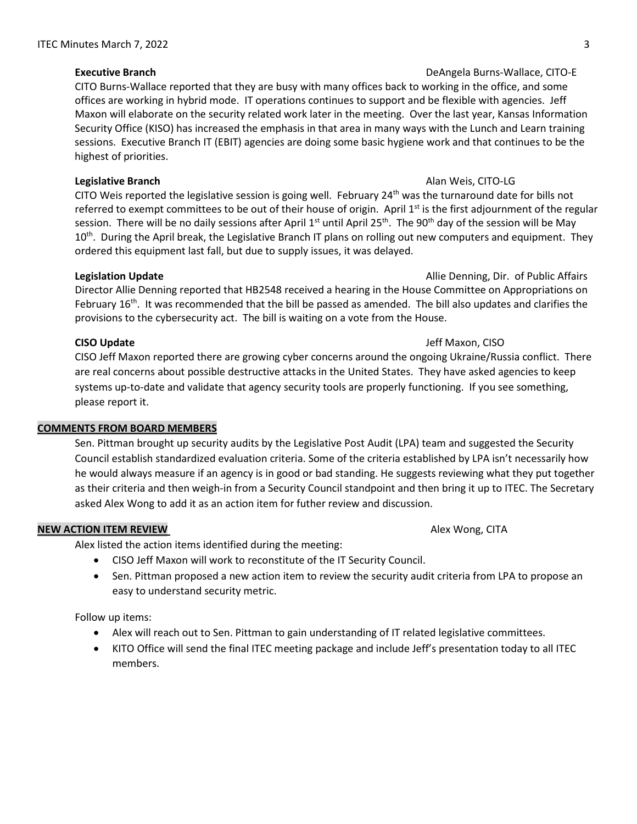## **Executive Branch** DeAngela Burns-Wallace, CITO-E

CITO Burns-Wallace reported that they are busy with many offices back to working in the office, and some offices are working in hybrid mode. IT operations continues to support and be flexible with agencies. Jeff Maxon will elaborate on the security related work later in the meeting. Over the last year, Kansas Information Security Office (KISO) has increased the emphasis in that area in many ways with the Lunch and Learn training sessions. Executive Branch IT (EBIT) agencies are doing some basic hygiene work and that continues to be the highest of priorities.

## **Legislative Branch Alan Weis, CITO-LG Alan Weis, CITO-LG**

CITO Weis reported the legislative session is going well. February  $24<sup>th</sup>$  was the turnaround date for bills not referred to exempt committees to be out of their house of origin. April  $1<sup>st</sup>$  is the first adjournment of the regular session. There will be no daily sessions after April 1<sup>st</sup> until April 25<sup>th</sup>. The 90<sup>th</sup> day of the session will be May 10<sup>th</sup>. During the April break, the Legislative Branch IT plans on rolling out new computers and equipment. They ordered this equipment last fall, but due to supply issues, it was delayed.

## **Legislation Update Allie Denning, Dir. of Public Affairs Allie Denning, Dir. of Public Affairs**

Director Allie Denning reported that HB2548 received a hearing in the House Committee on Appropriations on February 16<sup>th</sup>. It was recommended that the bill be passed as amended. The bill also updates and clarifies the provisions to the cybersecurity act. The bill is waiting on a vote from the House.

#### **CISO Update** Jeff Maxon, CISO

CISO Jeff Maxon reported there are growing cyber concerns around the ongoing Ukraine/Russia conflict. There are real concerns about possible destructive attacks in the United States. They have asked agencies to keep systems up-to-date and validate that agency security tools are properly functioning. If you see something, please report it.

## **COMMENTS FROM BOARD MEMBERS**

Sen. Pittman brought up security audits by the Legislative Post Audit (LPA) team and suggested the Security Council establish standardized evaluation criteria. Some of the criteria established by LPA isn't necessarily how he would always measure if an agency is in good or bad standing. He suggests reviewing what they put together as their criteria and then weigh-in from a Security Council standpoint and then bring it up to ITEC. The Secretary asked Alex Wong to add it as an action item for futher review and discussion.

## **NEW ACTION ITEM REVIEW** Alex Wong, CITA

Alex listed the action items identified during the meeting:

- CISO Jeff Maxon will work to reconstitute of the IT Security Council.
- Sen. Pittman proposed a new action item to review the security audit criteria from LPA to propose an easy to understand security metric.

Follow up items:

- Alex will reach out to Sen. Pittman to gain understanding of IT related legislative committees.
- KITO Office will send the final ITEC meeting package and include Jeff's presentation today to all ITEC members.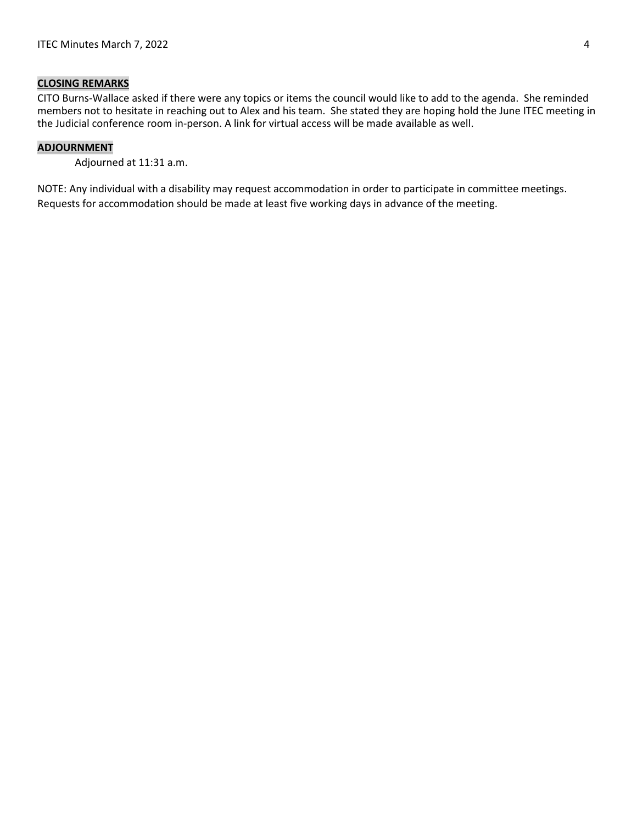## **CLOSING REMARKS**

CITO Burns-Wallace asked if there were any topics or items the council would like to add to the agenda. She reminded members not to hesitate in reaching out to Alex and his team. She stated they are hoping hold the June ITEC meeting in the Judicial conference room in-person. A link for virtual access will be made available as well.

## **ADJOURNMENT**

Adjourned at 11:31 a.m.

NOTE: Any individual with a disability may request accommodation in order to participate in committee meetings. Requests for accommodation should be made at least five working days in advance of the meeting.